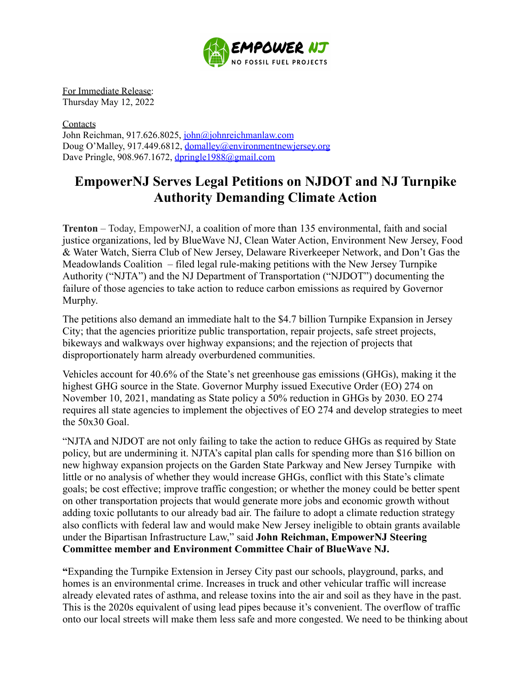

For Immediate Release: Thursday May 12, 2022

**Contacts** John Reichman, 917.626.8025, [john@johnreichmanlaw.com](mailto:john@johnreichmanlaw.com) Doug O'Malley, 917.449.6812, [domalley@environmentnewjersey.org](mailto:domalley@environmentnewjersey.org) Dave Pringle, 908.967.1672, [dpringle1988@gmail.com](mailto:dpringle1988@gmail.com)

## **EmpowerNJ Serves Legal Petitions on NJDOT and NJ Turnpike Authority Demanding Climate Action**

**Trenton** – Today, EmpowerNJ, a coalition of more than 135 environmental, faith and social justice organizations, led by BlueWave NJ, Clean Water Action, Environment New Jersey, Food & Water Watch, Sierra Club of New Jersey, Delaware Riverkeeper Network, and Don't Gas the Meadowlands Coalition – filed legal rule-making petitions with the New Jersey Turnpike Authority ("NJTA") and the NJ Department of Transportation ("NJDOT") documenting the failure of those agencies to take action to reduce carbon emissions as required by Governor Murphy.

The petitions also demand an immediate halt to the \$4.7 billion Turnpike Expansion in Jersey City; that the agencies prioritize public transportation, repair projects, safe street projects, bikeways and walkways over highway expansions; and the rejection of projects that disproportionately harm already overburdened communities.

Vehicles account for 40.6% of the State's net greenhouse gas emissions (GHGs), making it the highest GHG source in the State. Governor Murphy issued Executive Order (EO) 274 on November 10, 2021, mandating as State policy a 50% reduction in GHGs by 2030. EO 274 requires all state agencies to implement the objectives of EO 274 and develop strategies to meet the 50x30 Goal.

"NJTA and NJDOT are not only failing to take the action to reduce GHGs as required by State policy, but are undermining it. NJTA's capital plan calls for spending more than \$16 billion on new highway expansion projects on the Garden State Parkway and New Jersey Turnpike with little or no analysis of whether they would increase GHGs, conflict with this State's climate goals; be cost effective; improve traffic congestion; or whether the money could be better spent on other transportation projects that would generate more jobs and economic growth without adding toxic pollutants to our already bad air. The failure to adopt a climate reduction strategy also conflicts with federal law and would make New Jersey ineligible to obtain grants available under the Bipartisan Infrastructure Law," said **John Reichman, EmpowerNJ Steering Committee member and Environment Committee Chair of BlueWave NJ.**

**"**Expanding the Turnpike Extension in Jersey City past our schools, playground, parks, and homes is an environmental crime. Increases in truck and other vehicular traffic will increase already elevated rates of asthma, and release toxins into the air and soil as they have in the past. This is the 2020s equivalent of using lead pipes because it's convenient. The overflow of traffic onto our local streets will make them less safe and more congested. We need to be thinking about